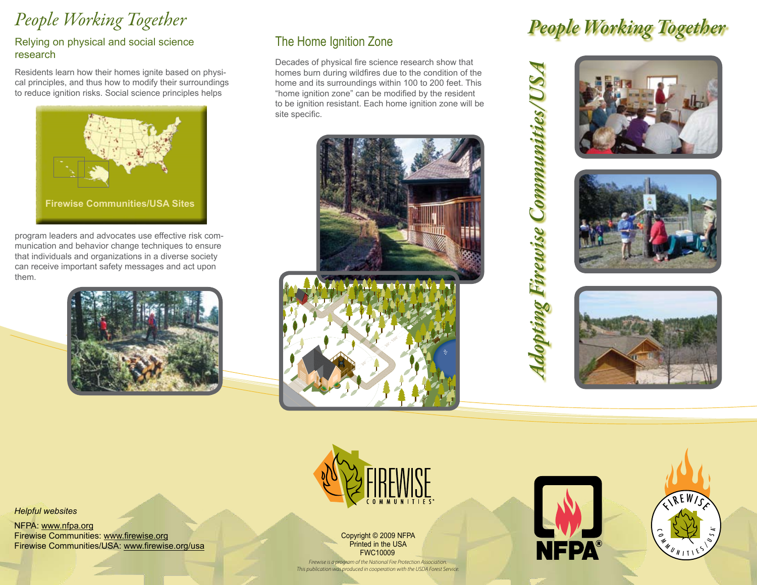# *People Working Together*

#### Relying on physical and social science research

Residents learn how their homes ignite based on physical principles, and thus how to modify their surroundings to reduce ignition risks. Social science principles helps



program leaders and advocates use effective risk communication and behavior change techniques to ensure that individuals and organizations in a diverse society can receive important safety messages and act upon them.



## The Home Ignition Zone

Decades of physical fire science research show that homes burn during wildfires due to the condition of the home and its surroundings within 100 to 200 feet. This "home ignition zone" can be modified by the resident to be ignition resistant. Each home ignition zone will be site specific.





# *People Working Together*







*Helpful websites*

NFPA: www.nfpa.org Firewise Communities: www.firewise.org Firewise Communities/USA: www.firewise.org/usa



Copyright © 2009 NFPA Printed in the USA FWC10009

*Firewise is a program of the National Fire Protection Association. This publication was produced in cooperation with the USDA Forest Service.*



*Adopting Firewise Communities/USA*

dopting Firewise Communities/US